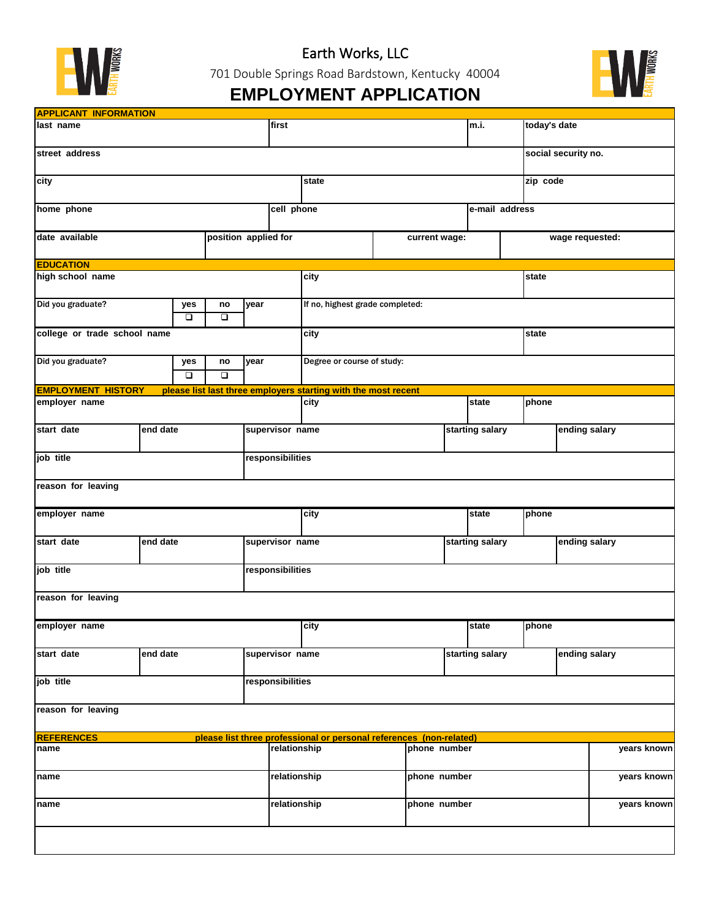

Earth Works, LLC

701 Double Springs Road Bardstown, Kentucky 40004



## **EMPLOYMENT APPLICATION**

| <b>APPLICANT INFORMATION</b>           |          |  |                            |      |                  |                                                                     |                                                                |               |                 |               |                 |               |  |
|----------------------------------------|----------|--|----------------------------|------|------------------|---------------------------------------------------------------------|----------------------------------------------------------------|---------------|-----------------|---------------|-----------------|---------------|--|
| last name                              |          |  |                            |      |                  |                                                                     | m.i.                                                           | today's date  |                 |               |                 |               |  |
| street address                         |          |  |                            |      |                  |                                                                     | social security no.                                            |               |                 |               |                 |               |  |
| city                                   |          |  |                            |      | state            |                                                                     |                                                                |               |                 | zip code      |                 |               |  |
| home phone                             |          |  |                            |      | cell phone       |                                                                     |                                                                |               | e-mail address  |               |                 |               |  |
| position applied for<br>date available |          |  |                            |      |                  |                                                                     |                                                                | current wage: |                 |               | wage requested: |               |  |
| <b>EDUCATION</b>                       |          |  |                            |      |                  |                                                                     |                                                                |               |                 |               |                 |               |  |
| high school name                       |          |  |                            |      |                  | city                                                                |                                                                |               |                 | state         |                 |               |  |
| Did you graduate?<br>yes               |          |  | no<br>$\overline{\square}$ | year |                  | If no, highest grade completed:                                     |                                                                |               |                 |               |                 |               |  |
| $\Box$<br>college or trade school name |          |  |                            |      |                  | city                                                                |                                                                |               | state           |               |                 |               |  |
|                                        |          |  |                            |      |                  |                                                                     |                                                                |               |                 |               |                 |               |  |
| Did you graduate?<br>yes<br>$\Box$     |          |  | no<br>$\overline{\square}$ | year |                  | Degree or course of study:                                          |                                                                |               |                 |               |                 |               |  |
| <b>EMPLOYMENT HISTORY</b>              |          |  |                            |      |                  |                                                                     | please list last three employers starting with the most recent |               |                 |               |                 |               |  |
| employer name                          |          |  |                            |      |                  | city                                                                |                                                                | state         |                 | phone         |                 |               |  |
| start date                             | end date |  |                            |      | supervisor name  |                                                                     |                                                                |               | starting salary | ending salary |                 |               |  |
| job title                              |          |  |                            |      | responsibilities |                                                                     |                                                                |               |                 |               |                 |               |  |
| reason for leaving                     |          |  |                            |      |                  |                                                                     |                                                                |               |                 |               |                 |               |  |
| employer name                          |          |  |                            |      | city             |                                                                     |                                                                | state         | phone           |               |                 |               |  |
| start date                             | end date |  |                            |      | supervisor name  |                                                                     |                                                                |               | starting salary |               | ending salary   |               |  |
| job title                              |          |  |                            |      | responsibilities |                                                                     |                                                                |               |                 |               |                 |               |  |
| reason for leaving                     |          |  |                            |      |                  |                                                                     |                                                                |               |                 |               |                 |               |  |
| employer name                          |          |  |                            |      |                  | city                                                                |                                                                |               | state           | phone         |                 |               |  |
| end date<br>start date                 |          |  |                            |      | supervisor name  |                                                                     |                                                                |               | starting salary |               |                 | ending salary |  |
|                                        |          |  |                            |      | responsibilities |                                                                     |                                                                |               |                 |               |                 |               |  |
| job title                              |          |  |                            |      |                  |                                                                     |                                                                |               |                 |               |                 |               |  |
| reason for leaving                     |          |  |                            |      |                  |                                                                     |                                                                |               |                 |               |                 |               |  |
| <b>REFERENCES</b>                      |          |  |                            |      |                  | please list three professional or personal references (non-related) |                                                                |               |                 |               |                 |               |  |
| name                                   |          |  |                            |      | relationship     |                                                                     |                                                                | phone number  |                 |               |                 | years known   |  |
| name                                   |          |  |                            |      | relationship     |                                                                     |                                                                | phone number  |                 |               |                 | years known   |  |
| name                                   |          |  |                            |      | relationship     |                                                                     |                                                                | phone number  |                 |               |                 | years known   |  |
|                                        |          |  |                            |      |                  |                                                                     |                                                                |               |                 |               |                 |               |  |
|                                        |          |  |                            |      |                  |                                                                     |                                                                |               |                 |               |                 |               |  |